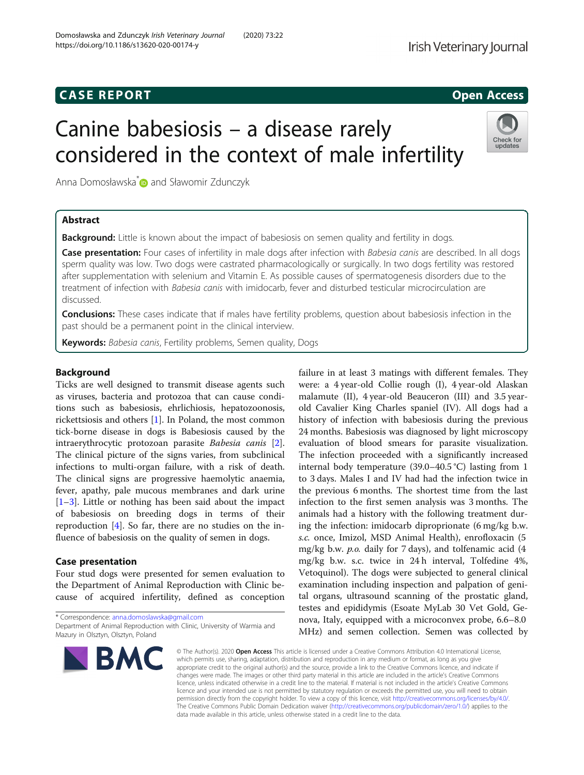## **CASE REPORT CASE REPORT CASE REPORT**

# Canine babesiosis – a disease rarely considered in the context of male infertility

Anna Domosławska<sup>[\\*](http://orcid.org/0000-0002-0050-1775)</sup> and Sławomir Zdunczyk

## Abstract

**Background:** Little is known about the impact of babesiosis on semen quality and fertility in dogs.

Case presentation: Four cases of infertility in male dogs after infection with Babesia canis are described. In all dogs sperm quality was low. Two dogs were castrated pharmacologically or surgically. In two dogs fertility was restored after supplementation with selenium and Vitamin E. As possible causes of spermatogenesis disorders due to the treatment of infection with Babesia canis with imidocarb, fever and disturbed testicular microcirculation are discussed.

Conclusions: These cases indicate that if males have fertility problems, question about babesiosis infection in the past should be a permanent point in the clinical interview.

Keywords: Babesia canis, Fertility problems, Semen quality, Dogs

## Background

Ticks are well designed to transmit disease agents such as viruses, bacteria and protozoa that can cause conditions such as babesiosis, ehrlichiosis, hepatozoonosis, rickettsiosis and others [\[1\]](#page-3-0). In Poland, the most common tick-borne disease in dogs is Babesiosis caused by the intraerythrocytic protozoan parasite Babesia canis [\[2](#page-3-0)]. The clinical picture of the signs varies, from subclinical infections to multi-organ failure, with a risk of death. The clinical signs are progressive haemolytic anaemia, fever, apathy, pale mucous membranes and dark urine [[1](#page-3-0)–[3\]](#page-3-0). Little or nothing has been said about the impact of babesiosis on breeding dogs in terms of their reproduction [[4\]](#page-3-0). So far, there are no studies on the influence of babesiosis on the quality of semen in dogs.

## Case presentation

Four stud dogs were presented for semen evaluation to the Department of Animal Reproduction with Clinic because of acquired infertility, defined as conception

\* Correspondence: [anna.domoslawska@gmail.com](mailto:anna.domoslawska@gmail.com) Department of Animal Reproduction with Clinic, University of Warmia and Mazury in Olsztyn, Olsztyn, Poland

**BMC** 

failure in at least 3 matings with different females. They were: a 4 year-old Collie rough (I), 4 year-old Alaskan malamute (II), 4 year-old Beauceron (III) and 3.5 yearold Cavalier King Charles spaniel (IV). All dogs had a history of infection with babesiosis during the previous 24 months. Babesiosis was diagnosed by light microscopy evaluation of blood smears for parasite visualization. The infection proceeded with a significantly increased internal body temperature (39.0–40.5 °C) lasting from 1 to 3 days. Males I and IV had had the infection twice in the previous 6 months. The shortest time from the last infection to the first semen analysis was 3 months. The animals had a history with the following treatment during the infection: imidocarb diproprionate (6 mg/kg b.w. s.c. once, Imizol, MSD Animal Health), enrofloxacin (5 mg/kg b.w.  $p.o.$  daily for 7 days), and tolfenamic acid  $(4)$ mg/kg b.w. s.c. twice in 24 h interval, Tolfedine 4%, Vetoquinol). The dogs were subjected to general clinical examination including inspection and palpation of genital organs, ultrasound scanning of the prostatic gland, testes and epididymis (Esoate MyLab 30 Vet Gold, Genova, Italy, equipped with a microconvex probe, 6.6–8.0 MHz) and semen collection. Semen was collected by

© The Author(s), 2020 **Open Access** This article is licensed under a Creative Commons Attribution 4.0 International License, which permits use, sharing, adaptation, distribution and reproduction in any medium or format, as long as you give appropriate credit to the original author(s) and the source, provide a link to the Creative Commons licence, and indicate if changes were made. The images or other third party material in this article are included in the article's Creative Commons licence, unless indicated otherwise in a credit line to the material. If material is not included in the article's Creative Commons licence and your intended use is not permitted by statutory regulation or exceeds the permitted use, you will need to obtain permission directly from the copyright holder. To view a copy of this licence, visit [http://creativecommons.org/licenses/by/4.0/.](http://creativecommons.org/licenses/by/4.0/) The Creative Commons Public Domain Dedication waiver [\(http://creativecommons.org/publicdomain/zero/1.0/](http://creativecommons.org/publicdomain/zero/1.0/)) applies to the data made available in this article, unless otherwise stated in a credit line to the data.





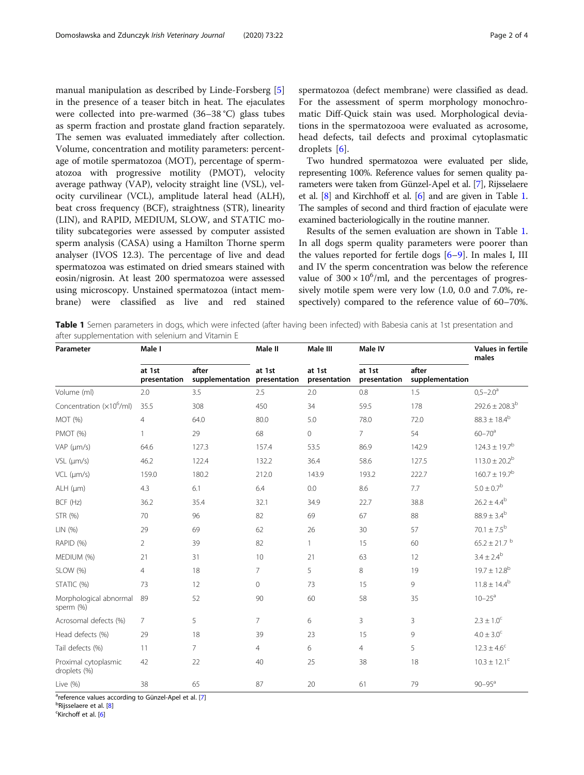<span id="page-1-0"></span>manual manipulation as described by Linde-Forsberg [\[5](#page-3-0)] in the presence of a teaser bitch in heat. The ejaculates were collected into pre-warmed (36–38 °C) glass tubes as sperm fraction and prostate gland fraction separately. The semen was evaluated immediately after collection. Volume, concentration and motility parameters: percentage of motile spermatozoa (MOT), percentage of spermatozoa with progressive motility (PMOT), velocity average pathway (VAP), velocity straight line (VSL), velocity curvilinear (VCL), amplitude lateral head (ALH), beat cross frequency (BCF), straightness (STR), linearity (LIN), and RAPID, MEDIUM, SLOW, and STATIC motility subcategories were assessed by computer assisted sperm analysis (CASA) using a Hamilton Thorne sperm analyser (IVOS 12.3). The percentage of live and dead spermatozoa was estimated on dried smears stained with eosin/nigrosin. At least 200 spermatozoa were assessed using microscopy. Unstained spermatozoa (intact membrane) were classified as live and red stained spermatozoa (defect membrane) were classified as dead. For the assessment of sperm morphology monochromatic Diff-Quick stain was used. Morphological deviations in the spermatozooa were evaluated as acrosome, head defects, tail defects and proximal cytoplasmatic droplets [[6\]](#page-3-0).

Two hundred spermatozoa were evaluated per slide, representing 100%. Reference values for semen quality parameters were taken from Günzel-Apel et al. [[7](#page-3-0)], Rijsselaere et al. [[8](#page-3-0)] and Kirchhoff et al. [\[6\]](#page-3-0) and are given in Table 1. The samples of second and third fraction of ejaculate were examined bacteriologically in the routine manner.

Results of the semen evaluation are shown in Table 1. In all dogs sperm quality parameters were poorer than the values reported for fertile dogs  $[6-9]$  $[6-9]$  $[6-9]$ . In males I, III and IV the sperm concentration was below the reference value of  $300 \times 10^6$ /ml, and the percentages of progressively motile spem were very low (1.0, 0.0 and 7.0%, respectively) compared to the reference value of 60–70%.

Table 1 Semen parameters in dogs, which were infected (after having been infected) with Babesia canis at 1st presentation and after supplementation with selenium and Vitamin E

| Parameter                            | Male I                 |                          | Male II                | Male III               | Male IV                |                          | Values in fertile<br>males    |
|--------------------------------------|------------------------|--------------------------|------------------------|------------------------|------------------------|--------------------------|-------------------------------|
|                                      | at 1st<br>presentation | after<br>supplementation | at 1st<br>presentation | at 1st<br>presentation | at 1st<br>presentation | after<br>supplementation |                               |
| Volume (ml)                          | 2.0                    | 3.5                      | 2.5                    | 2.0                    | 0.8                    | 1.5                      | $0,5 - 2.0$ <sup>a</sup>      |
| Concentration (x10 <sup>6</sup> /ml) | 35.5                   | 308                      | 450                    | 34                     | 59.5                   | 178                      | $292.6 \pm 208.3^{b}$         |
| MOT (%)                              | $\overline{4}$         | 64.0                     | 80.0                   | 5.0                    | 78.0                   | 72.0                     | $88.3 \pm 18.4^b$             |
| PMOT (%)                             |                        | 29                       | 68                     | 0                      | $7\overline{ }$        | 54                       | $60 - 70$ <sup>a</sup>        |
| VAP (um/s)                           | 64.6                   | 127.3                    | 157.4                  | 53.5                   | 86.9                   | 142.9                    | $124.3 \pm 19.7$ <sup>b</sup> |
| $VSL$ ( $µm/s$ )                     | 46.2                   | 122.4                    | 132.2                  | 36.4                   | 58.6                   | 127.5                    | $113.0 \pm 20.2^b$            |
| $VCL$ ( $µm/s$ )                     | 159.0                  | 180.2                    | 212.0                  | 143.9                  | 193.2                  | 222.7                    | $160.7 \pm 19.7^{\rm b}$      |
| $ALH$ ( $µm$ )                       | 4.3                    | 6.1                      | 6.4                    | 0.0                    | 8.6                    | 7.7                      | $5.0 \pm 0.7^{\rm b}$         |
| BCF (Hz)                             | 36.2                   | 35.4                     | 32.1                   | 34.9                   | 22.7                   | 38.8                     | $26.2 \pm 4.4^{b}$            |
| STR (%)                              | 70                     | 96                       | 82                     | 69                     | 67                     | 88                       | $88.9 \pm 3.4^b$              |
| LIN(%)                               | 29                     | 69                       | 62                     | 26                     | 30                     | 57                       | $70.1 \pm 7.5^{\rm b}$        |
| RAPID (%)                            | $\overline{2}$         | 39                       | 82                     | $\mathbf{1}$           | 15                     | 60                       | $65.2 \pm 21.7$ <sup>b</sup>  |
| MEDIUM (%)                           | 21                     | 31                       | 10                     | 21                     | 63                     | 12                       | $3.4 \pm 2.4^{\rm b}$         |
| SLOW (%)                             | $\overline{4}$         | 18                       | $\overline{7}$         | 5                      | 8                      | 19                       | $19.7 \pm 12.8^b$             |
| STATIC (%)                           | 73                     | 12                       | $\circ$                | 73                     | 15                     | 9                        | $11.8 \pm 14.4^{\rm b}$       |
| Morphological abnormal<br>sperm (%)  | 89                     | 52                       | 90                     | 60                     | 58                     | 35                       | $10 - 25$ <sup>a</sup>        |
| Acrosomal defects (%)                | $\overline{7}$         | 5                        | $\overline{7}$         | 6                      | 3                      | 3                        | $2.3 \pm 1.0^{\circ}$         |
| Head defects (%)                     | 29                     | 18                       | 39                     | 23                     | 15                     | 9                        | $4.0 \pm 3.0^{\circ}$         |
| Tail defects (%)                     | 11                     | $\overline{7}$           | $\overline{4}$         | 6                      | $\overline{4}$         | 5                        | $12.3 \pm 4.6$ <sup>c</sup>   |
| Proximal cytoplasmic<br>droplets (%) | 42                     | 22                       | 40                     | 25                     | 38                     | 18                       | $10.3 \pm 12.1^c$             |
| Live (%)                             | 38                     | 65                       | 87                     | 20                     | 61                     | 79                       | $90 - 95^{\circ}$             |

<sup>a</sup>reference values according to Günzel-Apel et al. [[7](#page-3-0)]<br><sup>b</sup>Piiccelaere et al. [8]

<sup>b</sup>Rijsselaere et al. [\[8\]](#page-3-0)

<sup>c</sup>Kirchoff et al. [[6\]](#page-3-0)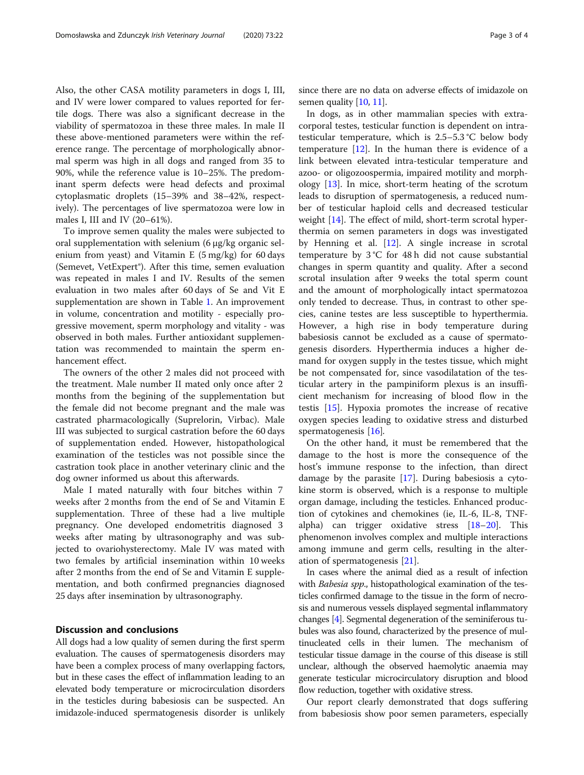Also, the other CASA motility parameters in dogs I, III, and IV were lower compared to values reported for fertile dogs. There was also a significant decrease in the viability of spermatozoa in these three males. In male II these above-mentioned parameters were within the reference range. The percentage of morphologically abnormal sperm was high in all dogs and ranged from 35 to 90%, while the reference value is 10–25%. The predominant sperm defects were head defects and proximal cytoplasmatic droplets (15–39% and 38–42%, respectively). The percentages of live spermatozoa were low in males I, III and IV (20–61%).

To improve semen quality the males were subjected to oral supplementation with selenium (6 μg/kg organic selenium from yeast) and Vitamin E  $(5 \text{ mg/kg})$  for 60 days (Semevet, VetExpert®). After this time, semen evaluation was repeated in males I and IV. Results of the semen evaluation in two males after 60 days of Se and Vit E supplementation are shown in Table [1](#page-1-0). An improvement in volume, concentration and motility - especially progressive movement, sperm morphology and vitality - was observed in both males. Further antioxidant supplementation was recommended to maintain the sperm enhancement effect.

The owners of the other 2 males did not proceed with the treatment. Male number II mated only once after 2 months from the begining of the supplementation but the female did not become pregnant and the male was castrated pharmacologically (Suprelorin, Virbac). Male III was subjected to surgical castration before the 60 days of supplementation ended. However, histopathological examination of the testicles was not possible since the castration took place in another veterinary clinic and the dog owner informed us about this afterwards.

Male I mated naturally with four bitches within 7 weeks after 2 months from the end of Se and Vitamin E supplementation. Three of these had a live multiple pregnancy. One developed endometritis diagnosed 3 weeks after mating by ultrasonography and was subjected to ovariohysterectomy. Male IV was mated with two females by artificial insemination within 10 weeks after 2 months from the end of Se and Vitamin E supplementation, and both confirmed pregnancies diagnosed 25 days after insemination by ultrasonography.

### Discussion and conclusions

All dogs had a low quality of semen during the first sperm evaluation. The causes of spermatogenesis disorders may have been a complex process of many overlapping factors, but in these cases the effect of inflammation leading to an elevated body temperature or microcirculation disorders in the testicles during babesiosis can be suspected. An imidazole-induced spermatogenesis disorder is unlikely

since there are no data on adverse effects of imidazole on semen quality [[10](#page-3-0), [11\]](#page-3-0).

In dogs, as in other mammalian species with extracorporal testes, testicular function is dependent on intratesticular temperature, which is 2.5–5.3 °C below body temperature  $[12]$  $[12]$ . In the human there is evidence of a link between elevated intra-testicular temperature and azoo- or oligozoospermia, impaired motility and morphology [\[13\]](#page-3-0). In mice, short-term heating of the scrotum leads to disruption of spermatogenesis, a reduced number of testicular haploid cells and decreased testicular weight [[14\]](#page-3-0). The effect of mild, short-term scrotal hyperthermia on semen parameters in dogs was investigated by Henning et al. [\[12\]](#page-3-0). A single increase in scrotal temperature by 3 °C for 48 h did not cause substantial changes in sperm quantity and quality. After a second scrotal insulation after 9 weeks the total sperm count and the amount of morphologically intact spermatozoa only tended to decrease. Thus, in contrast to other species, canine testes are less susceptible to hyperthermia. However, a high rise in body temperature during babesiosis cannot be excluded as a cause of spermatogenesis disorders. Hyperthermia induces a higher demand for oxygen supply in the testes tissue, which might be not compensated for, since vasodilatation of the testicular artery in the pampiniform plexus is an insufficient mechanism for increasing of blood flow in the testis [[15\]](#page-3-0). Hypoxia promotes the increase of recative oxygen species leading to oxidative stress and disturbed spermatogenesis [[16\]](#page-3-0).

On the other hand, it must be remembered that the damage to the host is more the consequence of the host's immune response to the infection, than direct damage by the parasite [\[17\]](#page-3-0). During babesiosis a cytokine storm is observed, which is a response to multiple organ damage, including the testicles. Enhanced production of cytokines and chemokines (ie, IL-6, IL-8, TNFalpha) can trigger oxidative stress [\[18](#page-3-0)–[20\]](#page-3-0). This phenomenon involves complex and multiple interactions among immune and germ cells, resulting in the alteration of spermatogenesis [\[21](#page-3-0)].

In cases where the animal died as a result of infection with Babesia spp., histopathological examination of the testicles confirmed damage to the tissue in the form of necrosis and numerous vessels displayed segmental inflammatory changes [\[4](#page-3-0)]. Segmental degeneration of the seminiferous tubules was also found, characterized by the presence of multinucleated cells in their lumen. The mechanism of testicular tissue damage in the course of this disease is still unclear, although the observed haemolytic anaemia may generate testicular microcirculatory disruption and blood flow reduction, together with oxidative stress.

Our report clearly demonstrated that dogs suffering from babesiosis show poor semen parameters, especially